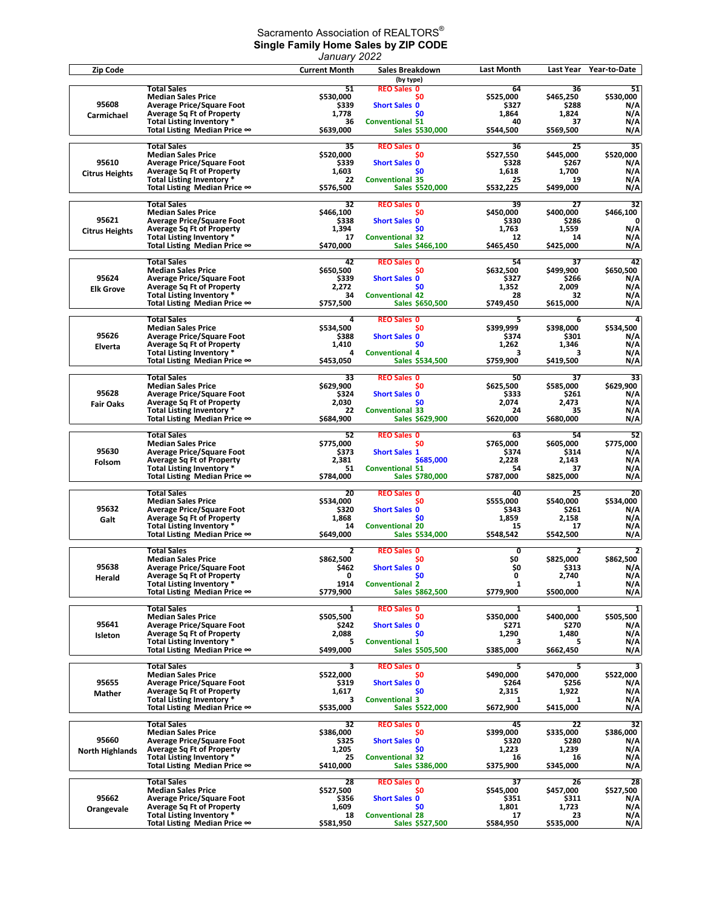## Sacramento Association of REALTORS $^\circ$ **Single Family Home Sales by ZIP CODE**

|                                 |                                                                                                                                                      | January 2022                            |                                                                                               |                                         |                                         |                                    |
|---------------------------------|------------------------------------------------------------------------------------------------------------------------------------------------------|-----------------------------------------|-----------------------------------------------------------------------------------------------|-----------------------------------------|-----------------------------------------|------------------------------------|
| Zip Code                        |                                                                                                                                                      | <b>Current Month</b>                    | Sales Breakdown                                                                               | <b>Last Month</b>                       | Last Year                               | Year-to-Date                       |
| 95608                           | <b>Total Sales</b><br><b>Median Sales Price</b><br><b>Average Price/Square Foot</b><br><b>Average Sq Ft of Property</b>                              | 51<br>\$530,000<br>\$339<br>1,778       | (by type)<br><b>REO Sales 0</b><br>S0<br><b>Short Sales 0</b><br>S <sub>0</sub>               | 64<br>\$525,000<br>\$327<br>1,864       | 36<br>\$465,250<br>\$288<br>1,824       | 51<br>\$530,000<br>N/A<br>N/A      |
| Carmichael                      | Total Listing Inventory *                                                                                                                            | 36                                      | <b>Conventional 51</b>                                                                        | 40                                      | 37                                      | N/A                                |
|                                 | Total Listing Median Price ∞                                                                                                                         | \$639,000                               | Sales \$530,000                                                                               | \$544,500                               | \$569,500                               | N/A                                |
| 95610                           | <b>Total Sales</b>                                                                                                                                   | 35                                      | <b>REO Sales 0</b>                                                                            | 36                                      | 25                                      | 35                                 |
|                                 | <b>Median Sales Price</b>                                                                                                                            | \$520,000                               | S <sub>0</sub>                                                                                | \$527,550                               | \$445,000                               | \$520,000                          |
|                                 | <b>Average Price/Square Foot</b>                                                                                                                     | \$339                                   | <b>Short Sales 0</b>                                                                          | \$328                                   | \$267                                   | N/A                                |
| <b>Citrus Heights</b>           | <b>Average Sq Ft of Property</b>                                                                                                                     | 1,603                                   | \$0                                                                                           | 1,618                                   | 1,700                                   | N/A                                |
|                                 | Total Listing Inventory *                                                                                                                            | 22                                      | <b>Conventional 35</b>                                                                        | 25                                      | 19                                      | N/A                                |
|                                 | Total Listing Median Price ∞                                                                                                                         | \$576,500                               | <b>Sales \$520,000</b>                                                                        | \$532,225                               | \$499,000                               | N/A                                |
| 95621<br><b>Citrus Heights</b>  | <b>Total Sales</b><br><b>Median Sales Price</b><br><b>Average Price/Square Foot</b><br><b>Average Sq Ft of Property</b><br>Total Listing Inventory * | 32<br>\$466,100<br>\$338<br>1,394<br>17 | <b>REO Sales 0</b><br>\$0<br><b>Short Sales 0</b><br>S <sub>0</sub><br><b>Conventional 32</b> | 39<br>\$450,000<br>\$330<br>1,763<br>12 | 27<br>\$400,000<br>\$286<br>1,559<br>14 | 32<br>\$466,100<br>0<br>N/A<br>N/A |
|                                 | Total Listing Median Price $\infty$                                                                                                                  | \$470,000                               | Sales \$466,100                                                                               | \$465,450                               | \$425,000                               | N/A                                |
|                                 | <b>Total Sales</b>                                                                                                                                   | 42                                      | <b>REO Sales 0</b>                                                                            | 54                                      | 37                                      | 42                                 |
| 95624                           | <b>Median Sales Price</b>                                                                                                                            | \$650,500                               | S0                                                                                            | \$632,500                               | \$499,900                               | \$650,500                          |
|                                 | <b>Average Price/Square Foot</b>                                                                                                                     | \$339                                   | <b>Short Sales 0</b>                                                                          | \$327                                   | \$266                                   | N/A                                |
| <b>Elk Grove</b>                | <b>Average Sq Ft of Property</b>                                                                                                                     | 2,272                                   | \$0                                                                                           | 1,352                                   | 2,009                                   | N/A                                |
|                                 | Total Listing Inventory *                                                                                                                            | 34                                      | <b>Conventional 42</b>                                                                        | 28                                      | 32                                      | N/A                                |
|                                 | Total Listing Median Price $\infty$                                                                                                                  | \$757,500                               | Sales \$650,500                                                                               | \$749,450                               | \$615,000                               | N/A                                |
|                                 | <b>Total Sales</b>                                                                                                                                   | 4                                       | <b>REO Sales 0</b>                                                                            | 5                                       | 6                                       | 4                                  |
|                                 | <b>Median Sales Price</b>                                                                                                                            | \$534,500                               | \$0                                                                                           | \$399,999                               | \$398,000                               | \$534,500                          |
| 95626<br>Elverta                | <b>Average Price/Square Foot</b><br><b>Average Sq Ft of Property</b><br>Total Listing Inventory *                                                    | \$388<br>1,410<br>4                     | <b>Short Sales 0</b><br>\$0<br><b>Conventional 4</b>                                          | \$374<br>1,262<br>З                     | \$301<br>1,346<br>3                     | N/A<br>N/A<br>N/A                  |
|                                 | Total Listing Median Price $\infty$                                                                                                                  | \$453,050                               | <b>Sales \$534,500</b>                                                                        | \$759,900                               | \$419,500                               | N/A                                |
| 95628                           | <b>Total Sales</b>                                                                                                                                   | 33                                      | <b>REO Sales 0</b>                                                                            | 50                                      | 37                                      | 33                                 |
|                                 | <b>Median Sales Price</b>                                                                                                                            | \$629,900                               | S0                                                                                            | \$625,500                               | \$585,000                               | \$629,900                          |
|                                 | <b>Average Price/Square Foot</b>                                                                                                                     | \$324                                   | <b>Short Sales 0</b>                                                                          | \$333                                   | \$261                                   | N/A                                |
| <b>Fair Oaks</b>                | <b>Average Sq Ft of Property</b>                                                                                                                     | 2,030                                   | S <sub>0</sub>                                                                                | 2,074                                   | 2,473                                   | N/A                                |
|                                 | Total Listing Inventory *                                                                                                                            | 22                                      | <b>Conventional 33</b>                                                                        | 24                                      | 35                                      | N/A                                |
|                                 | Total Listing Median Price ∞                                                                                                                         | \$684,900                               | Sales \$629,900                                                                               | \$620,000                               | \$680,000                               | N/A                                |
|                                 | <b>Total Sales</b>                                                                                                                                   | 52                                      | <b>REO Sales 0</b>                                                                            | 63                                      | 54                                      | 52                                 |
|                                 | <b>Median Sales Price</b>                                                                                                                            | \$775,000                               | S <sub>0</sub>                                                                                | \$765,000                               | \$605,000                               | \$775,000                          |
| 95630<br>Folsom                 | <b>Average Price/Square Foot</b><br><b>Average Sq Ft of Property</b><br>Total Listing Inventory *                                                    | \$373<br>2,381<br>51                    | <b>Short Sales 1</b><br>\$685,000<br><b>Conventional 51</b>                                   | \$374<br>2,228<br>54                    | \$314<br>2,143<br>37                    | N/A<br>N/A<br>N/A                  |
|                                 | Total Listing Median Price ∞                                                                                                                         | \$784,000                               | Sales \$780,000                                                                               | \$787,000                               | \$825,000                               | N/A                                |
| 95632                           | <b>Total Sales</b>                                                                                                                                   | 20                                      | <b>REO Sales 0</b>                                                                            | 40                                      | 25                                      | 20                                 |
|                                 | <b>Median Sales Price</b>                                                                                                                            | \$534,000                               | \$0                                                                                           | \$555,000                               | \$540,000                               | \$534,000                          |
|                                 | <b>Average Price/Square Foot</b>                                                                                                                     | \$320                                   | <b>Short Sales 0</b>                                                                          | \$343                                   | \$261                                   | N/A                                |
| Galt                            | <b>Average Sq Ft of Property</b>                                                                                                                     | 1,868                                   | S <sub>0</sub>                                                                                | 1,859                                   | 2,158                                   | N/A                                |
|                                 | Total Listing Inventory *                                                                                                                            | 14                                      | <b>Conventional 20</b>                                                                        | 15                                      | 17                                      | N/A                                |
|                                 | Total Listing Median Price $\infty$                                                                                                                  | \$649,000                               | Sales \$534,000                                                                               | \$548,542                               | \$542,500                               | N/A                                |
|                                 | <b>Total Sales</b>                                                                                                                                   | $\mathbf{z}$                            | <b>REO Sales 0</b>                                                                            | 0                                       | 2                                       | $\overline{2}$                     |
|                                 | <b>Median Sales Price</b>                                                                                                                            | \$862,500                               | <b>SO</b>                                                                                     | \$0                                     | \$825,000                               | \$862,500                          |
| 95638                           | <b>Average Price/Square Foot</b>                                                                                                                     | \$462                                   | <b>Short Sales 0</b>                                                                          | \$0                                     | \$313                                   | N/A                                |
| Herald                          | <b>Average Sq Ft of Property</b>                                                                                                                     | 0                                       | \$0                                                                                           | 0                                       | 2,740                                   | N/A                                |
|                                 | Total Listing Inventory *                                                                                                                            | 1914                                    | <b>Conventional 2</b>                                                                         | $\mathbf{1}$                            | 1                                       | N/A                                |
|                                 | Total Listing Median Price ∞                                                                                                                         | \$779,900                               | Sales \$862,500                                                                               | \$779,900                               | \$500,000                               | N/A                                |
| 95641                           | <b>Total Sales</b>                                                                                                                                   | 1                                       | <b>REO Sales 0</b>                                                                            | 1                                       | 1                                       | 1                                  |
|                                 | <b>Median Sales Price</b>                                                                                                                            | \$505,500                               | \$0                                                                                           | \$350,000                               | \$400,000                               | \$505,500                          |
|                                 | <b>Average Price/Square Foot</b>                                                                                                                     | \$242                                   | <b>Short Sales 0</b>                                                                          | \$271                                   | \$270                                   | N/A                                |
| Isleton                         | <b>Average Sq Ft of Property</b><br>Total Listing Inventory *                                                                                        | 2,088<br>5<br>\$499,000                 | \$0<br><b>Conventional 1</b><br>Sales \$505,500                                               | 1,290<br>3<br>\$385,000                 | 1,480<br>5<br>\$662,450                 | N/A<br>N/A                         |
|                                 | Total Listing Median Price ∞<br>Total Sales                                                                                                          | 3                                       | <b>REO Sales 0</b>                                                                            | 5                                       | 5                                       | N/A<br>3                           |
| 95655<br>Mather                 | <b>Median Sales Price</b><br><b>Average Price/Square Foot</b><br><b>Average Sq Ft of Property</b>                                                    | \$522,000<br>\$319<br>1,617             | <b>SO</b><br><b>Short Sales 0</b><br>S <sub>0</sub>                                           | \$490,000<br>\$264<br>2,315             | \$470,000<br>\$256<br>1,922             | \$522,000<br>N/A<br>N/A            |
|                                 | Total Listing Inventory *                                                                                                                            | 3                                       | <b>Conventional 3</b>                                                                         | 1                                       | 1                                       | N/A                                |
|                                 | Total Listing Median Price ∞                                                                                                                         | \$535,000                               | Sales \$522,000                                                                               | \$672,900                               | \$415,000                               | N/A                                |
|                                 | <b>Total Sales</b>                                                                                                                                   | 32                                      | <b>REO Sales 0</b>                                                                            | 45                                      | 22                                      | 32                                 |
|                                 | <b>Median Sales Price</b>                                                                                                                            | \$386,000                               | SO.                                                                                           | \$399,000                               | \$335,000                               | \$386,000                          |
| 95660<br><b>North Highlands</b> | <b>Average Price/Square Foot</b><br><b>Average Sq Ft of Property</b><br>Total Listing Inventory *<br>Total Listing Median Price $\infty$             | \$325<br>1,205<br>25<br>\$410,000       | <b>Short Sales 0</b><br>\$0<br><b>Conventional 32</b><br>Sales \$386,000                      | \$320<br>1,223<br>16<br>\$375,900       | \$280<br>1,239<br>16<br>\$345,000       | N/A<br>N/A<br>N/A<br>N/A           |
|                                 | <b>Total Sales</b>                                                                                                                                   | 28                                      | <b>REO Sales 0</b>                                                                            | 37                                      | 26                                      | 28                                 |
| 95662<br>Orangevale             | <b>Median Sales Price</b><br><b>Average Price/Square Foot</b><br><b>Average Sq Ft of Property</b>                                                    | \$527,500<br>\$356<br>1,609             | \$0<br><b>Short Sales 0</b><br><b>SO</b>                                                      | \$545,000<br>\$351<br>1,801             | \$457,000<br>\$311<br>1,723             | \$527,500<br>N/A<br>N/A            |
|                                 | Total Listing Inventory *                                                                                                                            | 18                                      | <b>Conventional 28</b>                                                                        | 17                                      | 23                                      | N/A                                |
|                                 | Total Listing Median Price ∞                                                                                                                         | \$581,950                               | Sales \$527,500                                                                               | \$584,950                               | \$535,000                               | N/A                                |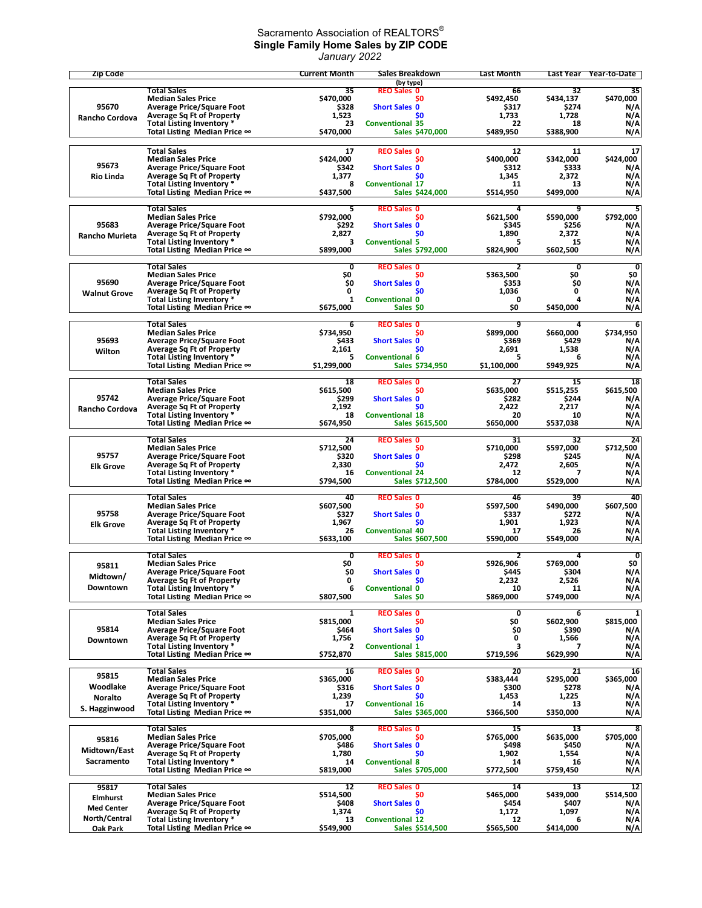## Sacramento Association of REALTORS $^\circ$ **Single Family Home Sales by ZIP CODE** *January 2022*

| <b>Zip Code</b>       |                                                                      | <b>Current Month</b> | Sales Breakdown                           | <b>Last Month</b>  | Last Year          | Year-to-Date                   |
|-----------------------|----------------------------------------------------------------------|----------------------|-------------------------------------------|--------------------|--------------------|--------------------------------|
|                       | <b>Total Sales</b>                                                   | 35                   | (by type)<br><b>REO Sales 0</b>           | 66                 | 32                 | 35                             |
|                       | <b>Median Sales Price</b>                                            | S470.000             | S0                                        | \$492,450          | \$434,137          | \$470,000                      |
| 95670                 | <b>Average Price/Square Foot</b>                                     | \$328                | <b>Short Sales 0</b>                      | \$317              | \$274              | N/A                            |
| Rancho Cordova        | <b>Average Sq Ft of Property</b><br>Total Listing Inventory *        | 1,523<br>23          | \$0<br><b>Conventional 35</b>             | 1.733<br>22        | 1,728<br>18        | N/A<br>N/A                     |
|                       | Total Listing Median Price ∞                                         | \$470,000            | Sales \$470,000                           | \$489,950          | \$388,900          | N/A                            |
|                       |                                                                      |                      |                                           |                    |                    |                                |
|                       | <b>Total Sales</b>                                                   | 17                   | <b>REO Sales 0</b>                        | 12                 | 11                 | 17                             |
| 95673                 | <b>Median Sales Price</b><br><b>Average Price/Square Foot</b>        | \$424,000<br>\$342   | \$0<br><b>Short Sales 0</b>               | \$400,000<br>\$312 | \$342,000<br>\$333 | \$424,000<br>N/A               |
| <b>Rio Linda</b>      | <b>Average Sq Ft of Property</b>                                     | 1,377                | <b>SO</b>                                 | 1,345              | 2,372              | N/A                            |
|                       | Total Listing Inventory *                                            | 8                    | <b>Conventional 17</b>                    | 11                 | 13                 | N/A                            |
|                       | Total Listing Median Price ∞                                         | \$437,500            | Sales \$424,000                           | \$514,950          | \$499,000          | N/A                            |
|                       | <b>Total Sales</b>                                                   | 5                    | <b>REO Sales 0</b>                        | 4                  | 9                  | 5                              |
|                       | <b>Median Sales Price</b>                                            | \$792,000            | S0                                        | \$621,500          | \$590,000          | \$792,000                      |
| 95683                 | <b>Average Price/Square Foot</b>                                     | \$292<br>2,827       | <b>Short Sales 0</b><br>\$0               | \$345<br>1,890     | \$256<br>2,372     | N/A<br>N/A                     |
| <b>Rancho Murieta</b> | <b>Average Sq Ft of Property</b><br>Total Listing Inventory *        | 3                    | <b>Conventional 5</b>                     | 5                  | 15                 | N/A                            |
|                       | Total Listing Median Price ∞                                         | \$899,000            | Sales \$792,000                           | \$824,900          | \$602,500          | N/A                            |
|                       | <b>Total Sales</b>                                                   | 0                    | <b>REO Sales 0</b>                        | $\overline{2}$     | 0                  | $\overline{\mathbf{0}}$        |
|                       | <b>Median Sales Price</b>                                            | \$O                  | \$0                                       | \$363,500          | \$O                | \$0                            |
| 95690                 | <b>Average Price/Square Foot</b>                                     | \$0                  | <b>Short Sales 0</b>                      | \$353              | \$0                | N/A                            |
| <b>Walnut Grove</b>   | <b>Average Sq Ft of Property</b><br>Total Listing Inventory *        | 0<br>1               | SO.<br><b>Conventional 0</b>              | 1,036<br>0         | 0<br>4             | N/A<br>N/A                     |
|                       | Total Listing Median Price ∞                                         | \$675,000            | Sales \$0                                 | \$0                | \$450,000          | N/A                            |
|                       |                                                                      |                      |                                           |                    |                    |                                |
|                       | <b>Total Sales</b><br><b>Median Sales Price</b>                      | 6<br>\$734,950       | <b>REO Sales 0</b><br>S0                  | 9<br>\$899,000     | 4<br>\$660,000     | 6<br>\$734,950                 |
| 95693                 | <b>Average Price/Square Foot</b>                                     | \$433                | <b>Short Sales 0</b>                      | \$369              | \$429              | N/A                            |
| Wilton                | <b>Average Sq Ft of Property</b>                                     | 2,161                | \$0                                       | 2,691              | 1,538              | N/A                            |
|                       | Total Listing Inventory *                                            | 5                    | <b>Conventional 6</b>                     | 5                  | 6                  | N/A                            |
|                       | Total Listing Median Price ∞                                         | \$1,299,000          | Sales \$734,950                           | \$1,100,000        | \$949,925          | N/A                            |
|                       | <b>Total Sales</b>                                                   | 18                   | <b>REO Sales 0</b>                        | 27                 | 15                 | 18                             |
| 95742                 | <b>Median Sales Price</b>                                            | \$615,500            | \$0                                       | \$635,000          | \$515,255          | \$615.500                      |
| Rancho Cordova        | <b>Average Price/Square Foot</b><br><b>Average Sq Ft of Property</b> | \$299<br>2,192       | <b>Short Sales 0</b><br>\$0               | \$282<br>2,422     | \$244<br>2,217     | N/A<br>N/A                     |
|                       | Total Listing Inventory *                                            | 18                   | <b>Conventional 18</b>                    | 20                 | 10                 | N/A                            |
|                       | Total Listing Median Price $\infty$                                  | \$674,950            | Sales \$615,500                           | \$650,000          | \$537,038          | N/A                            |
|                       | <b>Total Sales</b>                                                   | 24                   | <b>REO Sales 0</b>                        | 31                 | 32                 | 24                             |
|                       | <b>Median Sales Price</b>                                            | \$712,500            | \$0                                       | \$710,000          | \$597,000          | \$712,500                      |
| 95757                 | <b>Average Price/Square Foot</b>                                     | \$320                | <b>Short Sales 0</b>                      | \$298              | \$245              | N/A                            |
| <b>Elk Grove</b>      | <b>Average Sq Ft of Property</b><br>Total Listing Inventory *        | 2,330<br>16          | <b>SO</b><br><b>Conventional 24</b>       | 2,472<br>12        | 2,605<br>7         | N/A<br>N/A                     |
|                       | Total Listing Median Price $\infty$                                  | \$794,500            | <b>Sales \$712,500</b>                    | \$784,000          | \$529,000          | N/A                            |
|                       | Total Sales                                                          | 40                   | <b>REO Sales 0</b>                        | 46                 | 39                 | 40                             |
|                       | <b>Median Sales Price</b>                                            | \$607,500            | S0                                        | \$597,500          | \$490,000          | \$607,500                      |
| 95758                 | <b>Average Price/Square Foot</b>                                     | \$327                | <b>Short Sales 0</b>                      | \$337              | \$272              | N/A                            |
| <b>Elk Grove</b>      | <b>Average Sq Ft of Property</b>                                     | 1,967                | \$0                                       | 1,901              | 1,923              | N/A                            |
|                       | Total Listing Inventory *<br>Total Listing Median Price ∞            | 26<br>\$633,100      | <b>Conventional 40</b><br>Sales \$607,500 | 17<br>\$590,000    | 26<br>\$549,000    | N/A<br>N/A                     |
|                       |                                                                      |                      |                                           |                    |                    |                                |
|                       | <b>Total Sales</b><br><b>Median Sales Price</b>                      | 0<br>\$O             | <b>REO Sales 0</b><br>\$0                 | 2<br>\$926,906     | 4<br>\$769.000     | $\overline{\mathbf{0}}$<br>\$0 |
| 95811                 | <b>Average Price/Square Foot</b>                                     | \$0                  | <b>Short Sales 0</b>                      | \$445              | \$304              | N/A                            |
| Midtown/              | Average Sq Ft of Property                                            | 0                    | S0                                        | 2,232              | 2,526              | N/A                            |
| Downtown              | Total Listing Inventory *<br>Total Listing Median Price ∞            | 6<br>\$807,500       | <b>Conventional 0</b><br>Sales SO         | 10<br>\$869,000    | 11<br>\$749,000    | N/A<br>N/A                     |
|                       |                                                                      |                      |                                           |                    |                    |                                |
|                       | <b>Total Sales</b>                                                   | 1                    | <b>REO Sales 0</b>                        | 0                  | 6                  | $\overline{\mathbf{1}}$        |
| 95814                 | <b>Median Sales Price</b><br><b>Average Price/Square Foot</b>        | \$815,000            | S0<br><b>Short Sales 0</b>                | Ş0                 | \$602,900          | \$815,000                      |
| Downtown              | <b>Average Sq Ft of Property</b>                                     | \$464<br>1,756       | \$0                                       | \$0<br>0           | \$390<br>1,566     | N/A<br>N/A                     |
|                       | Total Listing Inventory *                                            | 2                    | <b>Conventional 1</b>                     | 3                  | 7                  | N/A                            |
|                       | Total Listing Median Price ∞                                         | \$752,870            | Sales \$815,000                           | \$719,596          | \$629,990          | N/A                            |
|                       | Total Sales                                                          | 16                   | <b>REO Sales 0</b>                        | 20                 | 21                 | 16                             |
| 95815                 | <b>Median Sales Price</b>                                            | \$365,000            | S0                                        | \$383,444          | \$295,000          | \$365,000                      |
| Woodlake              | <b>Average Price/Square Foot</b><br><b>Average Sq Ft of Property</b> | \$316<br>1,239       | <b>Short Sales 0</b><br>\$0               | \$300<br>1,453     | \$278<br>1,225     | N/A<br>N/A                     |
| <b>Noralto</b>        | Total Listing Inventory *                                            | 17                   | <b>Conventional 16</b>                    | 14                 | 13                 | N/A                            |
| S. Hagginwood         | Total Listing Median Price $\infty$                                  | \$351,000            | Sales \$365,000                           | \$366,500          | \$350,000          | N/A                            |
|                       | <b>Total Sales</b>                                                   |                      | <b>REO Sales 0</b>                        |                    |                    | 8                              |
| 95816                 | <b>Median Sales Price</b>                                            | 8<br>\$705,000       | \$0                                       | 15<br>\$765,000    | 13<br>\$635,000    | \$705,000                      |
| Midtown/East          | <b>Average Price/Square Foot</b>                                     | \$486                | <b>Short Sales 0</b>                      | \$498              | \$450              | N/A                            |
|                       | <b>Average Sq Ft of Property</b>                                     | 1,780                | SO.                                       | 1,902              | 1,554              | N/A                            |
| Sacramento            | Total Listing Inventory *<br>Total Listing Median Price ∞            | 14<br>\$819,000      | <b>Conventional 8</b><br>Sales \$705,000  | 14<br>\$772,500    | 16<br>\$759,450    | N/A<br>N/A                     |
|                       |                                                                      |                      |                                           |                    |                    |                                |
| 95817                 | <b>Total Sales</b>                                                   | 12                   | <b>REO Sales 0</b>                        | 14                 | 13                 | 12                             |
| Elmhurst              | <b>Median Sales Price</b><br><b>Average Price/Square Foot</b>        | \$514,500<br>\$408   | S0<br><b>Short Sales 0</b>                | \$465,000<br>\$454 | \$439,000<br>\$407 | \$514,500<br>N/A               |
| <b>Med Center</b>     | <b>Average Sq Ft of Property</b>                                     | 1,374                | \$0                                       | 1,172              | 1,097              | N/A                            |
| North/Central         | Total Listing Inventory *                                            | 13                   | <b>Conventional 12</b>                    | 12                 | 6                  | N/A                            |
| Oak Park              | Total Listing Median Price $\infty$                                  | \$549,900            | Sales \$514,500                           | \$565,500          | \$414,000          | N/A                            |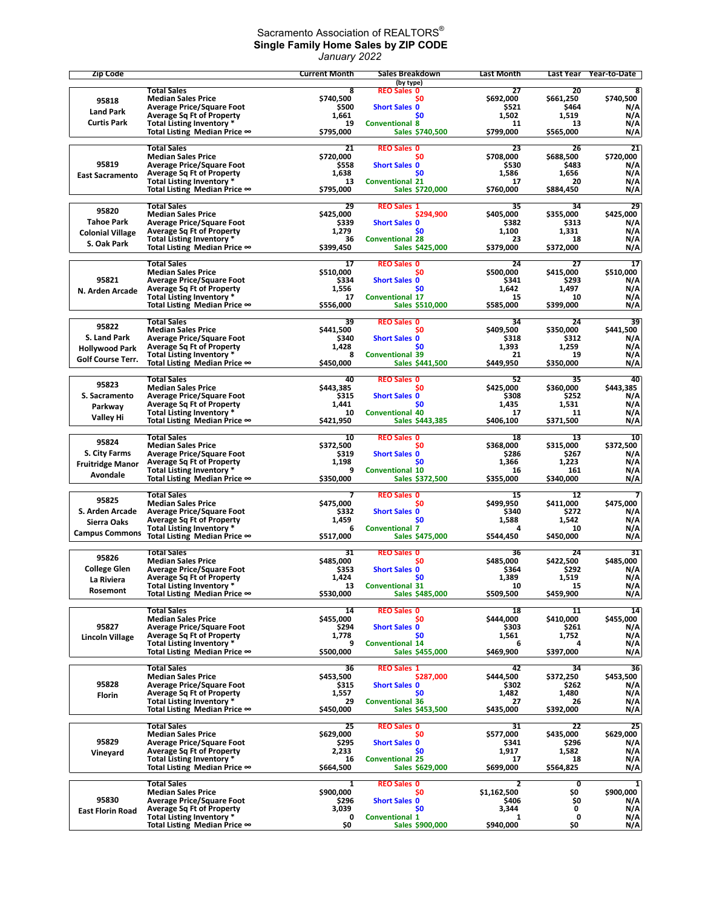## Sacramento Association of REALTORS $^\circ$ **Single Family Home Sales by ZIP CODE** *January 2022*

| <b>Zip Code</b>          |                                                                      | <b>Current Month</b> | Sales Breakdown                           | <b>Last Month</b>  | Last Year          | Year-to-Date            |
|--------------------------|----------------------------------------------------------------------|----------------------|-------------------------------------------|--------------------|--------------------|-------------------------|
|                          | <b>Total Sales</b>                                                   | 8                    | (by type)<br><b>REO Sales 0</b>           | 27                 | 20                 | 8                       |
| 95818                    | <b>Median Sales Price</b>                                            | \$740,500            | S0                                        | \$692,000          | \$661,250          | \$740,500               |
| <b>Land Park</b>         | <b>Average Price/Square Foot</b><br><b>Average Sq Ft of Property</b> | \$500<br>1,661       | <b>Short Sales 0</b><br>\$0               | \$521<br>1,502     | \$464<br>1,519     | N/A<br>N/A              |
| <b>Curtis Park</b>       | Total Listing Inventory *                                            | 19                   | <b>Conventional 8</b>                     | 11                 | 13                 | N/A                     |
|                          | Total Listing Median Price ∞                                         | \$795,000            | Sales \$740,500                           | \$799,000          | \$565,000          | N/A                     |
|                          | <b>Total Sales</b>                                                   | 21                   | <b>REO Sales 0</b>                        | 23                 | 26                 | 21                      |
| 95819                    | <b>Median Sales Price</b>                                            | \$720,000<br>\$558   | \$0                                       | \$708,000<br>\$530 | \$688,500<br>\$483 | \$720,000               |
| <b>East Sacramento</b>   | <b>Average Price/Square Foot</b><br><b>Average Sq Ft of Property</b> | 1.638                | <b>Short Sales 0</b><br>S <sub>0</sub>    | 1,586              | 1,656              | N/A<br>N/A              |
|                          | Total Listing Inventory *                                            | 13                   | <b>Conventional 21</b>                    | 17                 | 20                 | N/A                     |
|                          | Total Listing Median Price ∞                                         | \$795,000            | Sales \$720,000                           | \$760,000          | \$884,450          | N/A                     |
| 95820                    | <b>Total Sales</b>                                                   | 29<br>\$425,000      | <b>REO Sales 1</b>                        | 35                 | 34                 | 29                      |
| <b>Tahoe Park</b>        | <b>Median Sales Price</b><br><b>Average Price/Square Foot</b>        | \$339                | \$294,900<br><b>Short Sales 0</b>         | \$405,000<br>\$382 | \$355,000<br>\$313 | \$425,000<br>N/A        |
| <b>Colonial Village</b>  | <b>Average Sq Ft of Property</b>                                     | 1,279                | \$0                                       | 1,100              | 1,331              | N/A                     |
| S. Oak Park              | Total Listing Inventory *                                            | 36                   | <b>Conventional 28</b>                    | 23                 | 18                 | N/A                     |
|                          | Total Listing Median Price ∞                                         | \$399,450            | Sales \$425,000                           | \$379,000          | \$372,000          | N/A                     |
|                          | <b>Total Sales</b><br><b>Median Sales Price</b>                      | 17<br>\$510,000      | <b>REO Sales 0</b><br>\$0                 | 24<br>\$500,000    | 27<br>\$415,000    | 17<br>\$510,000         |
| 95821                    | <b>Average Price/Square Foot</b>                                     | \$334                | <b>Short Sales 0</b>                      | \$341              | \$293              | N/A                     |
| N. Arden Arcade          | <b>Average Sq Ft of Property</b>                                     | 1,556                | \$0                                       | 1,642              | 1,497              | N/A                     |
|                          | Total Listing Inventory *                                            | 17                   | <b>Conventional 17</b>                    | 15                 | 10                 | N/A                     |
|                          | Total Listing Median Price ∞                                         | \$556.000            | <b>Sales S510,000</b>                     | \$585,000          | \$399,000          | N/A                     |
| 95822                    | <b>Total Sales</b><br><b>Median Sales Price</b>                      | 39<br>\$441,500      | <b>REO Sales 0</b><br>S0                  | 34<br>\$409,500    | 24<br>\$350,000    | 39<br>\$441,500         |
| S. Land Park             | <b>Average Price/Square Foot</b>                                     | \$340                | <b>Short Sales 0</b>                      | \$318              | \$312              | N/A                     |
| <b>Hollywood Park</b>    | <b>Average Sq Ft of Property</b>                                     | 1,428                | S <sub>0</sub>                            | 1,393              | 1,259              | N/A                     |
| <b>Golf Course Terr.</b> | Total Listing Inventory *                                            | 8                    | <b>Conventional 39</b>                    | 21                 | 19                 | N/A                     |
|                          | Total Listing Median Price ∞                                         | \$450,000            | Sales \$441,500                           | \$449,950          | \$350,000          | N/A                     |
| 95823                    | <b>Total Sales</b><br><b>Median Sales Price</b>                      | 40<br>\$443,385      | <b>REO Sales 0</b><br>S0                  | 52<br>\$425,000    | 35<br>\$360,000    | 40<br>\$443,385         |
| S. Sacramento            | <b>Average Price/Square Foot</b>                                     | \$315                | <b>Short Sales 0</b>                      | \$308              | \$252              | N/A                     |
| Parkway                  | <b>Average Sq Ft of Property</b>                                     | 1,441                | \$0                                       | 1,435              | 1,531              | N/A                     |
| Valley Hi                | Total Listing Inventory *                                            | 10                   | <b>Conventional 40</b>                    | 17                 | 11                 | N/A                     |
|                          | Total Listing Median Price ∞                                         | \$421,950            | Sales \$443,385                           | \$406,100          | \$371,500          | N/A                     |
|                          | <b>Total Sales</b>                                                   | 10                   | <b>REO Sales 0</b>                        | 18                 | 13                 | 10                      |
| 95824                    | <b>Median Sales Price</b>                                            | \$372,500            | \$0                                       | \$368,000          | \$315,000          | \$372,500               |
| S. City Farms            | <b>Average Price/Square Foot</b>                                     | \$319                | <b>Short Sales 0</b>                      | \$286              | \$267              | N/A                     |
| <b>Fruitridge Manor</b>  | <b>Average Sq Ft of Property</b><br>Total Listing Inventory *        | 1,198<br>9           | S <sub>0</sub><br><b>Conventional 10</b>  | 1,366<br>16        | 1,223<br>161       | N/A<br>N/A              |
| Avondale                 | Total Listing Median Price ∞                                         | \$350,000            | Sales \$372,500                           | \$355,000          | \$340,000          | N/A                     |
|                          | <b>Total Sales</b>                                                   | 7                    | <b>REO Sales 0</b>                        | 15                 | 12                 | 7                       |
| 95825                    | <b>Median Sales Price</b>                                            | \$475,000            | S0                                        | \$499,950          | \$411,000          | \$475,000               |
| S. Arden Arcade          | <b>Average Price/Square Foot</b>                                     | \$332                | <b>Short Sales 0</b>                      | \$340              | \$272              | N/A                     |
| Sierra Oaks              | <b>Average Sq Ft of Property</b><br>Total Listing Inventory *        | 1,459<br>6           | \$0<br><b>Conventional 7</b>              | 1,588<br>Δ         | 1,542<br>10        | N/A<br>N/A              |
| <b>Campus Commons</b>    | Total Listing Median Price ∞                                         | \$517,000            | Sales \$475,000                           | \$544,450          | \$450,000          | N/A                     |
|                          | <b>Total Sales</b>                                                   | 31                   | <b>REO Sales 0</b>                        | 36                 | 24                 | 31                      |
| 95826                    | <b>Median Sales Price</b>                                            | \$485,000            | \$0                                       | \$485,000          | \$422,500          | \$485,000               |
| <b>College Glen</b>      | <b>Average Price/Square Foot</b>                                     | \$353                | <b>Short Sales 0</b>                      | \$364              | \$292              | N/A                     |
| La Riviera               | <b>Average Sq Ft of Property</b>                                     | 1,424                | \$0                                       | 1,389              | 1,519              | N/A                     |
| Rosemont                 | Total Listing Inventory *<br>Total Listing Median Price ∞            | 13<br>\$530,000      | <b>Conventional 31</b><br>Sales \$485,000 | 10<br>\$509,500    | 15<br>\$459,900    | N/A<br>N/A              |
|                          | <b>Total Sales</b>                                                   | 14                   | <b>REO Sales 0</b>                        | 18                 | 11                 | 14                      |
|                          | <b>Median Sales Price</b>                                            | \$455,000            | \$0                                       | \$444,000          | \$410,000          | \$455,000               |
| 95827                    | <b>Average Price/Square Foot</b>                                     | \$294                | <b>Short Sales 0</b>                      | \$303              | \$261              | N/A                     |
| Lincoln Village          | <b>Average Sq Ft of Property</b><br>Total Listing Inventory *        | 1,778<br>9           | \$0<br><b>Conventional 14</b>             | 1,561<br>6         | 1,752<br>4         | N/A<br>N/A              |
|                          | Total Listing Median Price ∞                                         | \$500,000            | Sales \$455,000                           | \$469,900          | \$397,000          | N/A                     |
|                          | <b>Total Sales</b>                                                   | 36                   | <b>REO Sales 1</b>                        | 42                 | 34                 | 36                      |
|                          | <b>Median Sales Price</b>                                            | \$453,500            | \$287,000                                 | \$444,500          | \$372,250          | \$453,500               |
| 95828                    | <b>Average Price/Square Foot</b>                                     | \$315                | <b>Short Sales 0</b>                      | \$302              | \$262              | N/A                     |
| <b>Florin</b>            | <b>Average Sq Ft of Property</b><br>Total Listing Inventory *        | 1,557<br>29          | \$0<br><b>Conventional 36</b>             | 1,482<br>27        | 1,480<br>26        | N/A<br>N/A              |
|                          | Total Listing Median Price $\infty$                                  | \$450,000            | Sales \$453,500                           | \$435,000          | \$392,000          | N/A                     |
|                          | <b>Total Sales</b>                                                   | 25                   | <b>REO Sales 0</b>                        | 31                 | 22                 | 25                      |
|                          | <b>Median Sales Price</b>                                            | \$629,000            | \$0                                       | \$577,000          | \$435,000          | \$629,000               |
| 95829                    | <b>Average Price/Square Foot</b>                                     | \$295                | <b>Short Sales 0</b>                      | \$341              | \$296              | N/A                     |
| Vineyard                 | <b>Average Sq Ft of Property</b>                                     | 2,233                | <b>SO</b>                                 | 1,917              | 1,582              | N/A                     |
|                          | Total Listing Inventory *<br>Total Listing Median Price ∞            | 16<br>\$664,500      | <b>Conventional 25</b><br>Sales \$629,000 | 17<br>\$699,000    | 18<br>\$564,825    | N/A<br>N/A              |
|                          | <b>Total Sales</b>                                                   | 1                    | <b>REO Sales 0</b>                        | 2                  | 0                  | $\overline{\mathbf{1}}$ |
|                          | <b>Median Sales Price</b>                                            | \$900,000            | S0                                        | \$1,162,500        | SO.                | \$900,000               |
| 95830                    | <b>Average Price/Square Foot</b>                                     | \$296                | <b>Short Sales 0</b>                      | \$406              | \$O                | N/A                     |
| <b>East Florin Road</b>  | <b>Average Sq Ft of Property</b><br>Total Listing Inventory *        | 3,039<br>0           | \$0<br><b>Conventional 1</b>              | 3,344<br>1         | 0<br>0             | N/A<br>N/A              |
|                          | Total Listing Median Price ∞                                         | \$0                  | Sales \$900,000                           | \$940,000          | \$0                | N/A                     |
|                          |                                                                      |                      |                                           |                    |                    |                         |